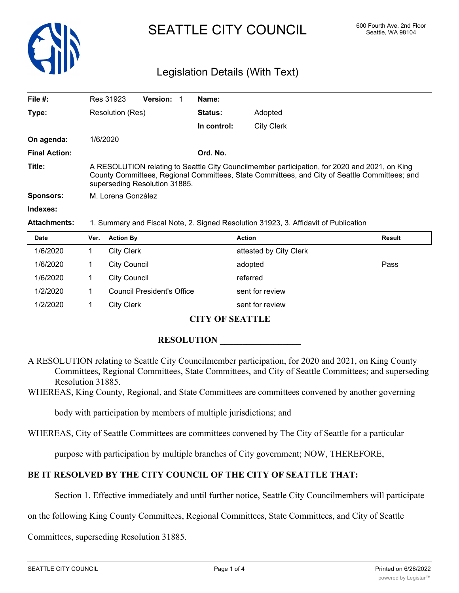

# SEATTLE CITY COUNCIL 600 Fourth Ave. 2nd Floor

# Legislation Details (With Text)

| File $#$ :                                                                                                                                                                                                                     | Res 31923                                                                                                                                                                                                                       | <b>Version:</b> |                | Name:       |                                                                                                                                                                                                                                                                                                                    |
|--------------------------------------------------------------------------------------------------------------------------------------------------------------------------------------------------------------------------------|---------------------------------------------------------------------------------------------------------------------------------------------------------------------------------------------------------------------------------|-----------------|----------------|-------------|--------------------------------------------------------------------------------------------------------------------------------------------------------------------------------------------------------------------------------------------------------------------------------------------------------------------|
| Type:                                                                                                                                                                                                                          | Resolution (Res)                                                                                                                                                                                                                |                 | <b>Status:</b> | Adopted     |                                                                                                                                                                                                                                                                                                                    |
|                                                                                                                                                                                                                                |                                                                                                                                                                                                                                 |                 |                | In control: | <b>City Clerk</b>                                                                                                                                                                                                                                                                                                  |
| On agenda:                                                                                                                                                                                                                     | 1/6/2020                                                                                                                                                                                                                        |                 |                |             |                                                                                                                                                                                                                                                                                                                    |
| <b>Final Action:</b>                                                                                                                                                                                                           |                                                                                                                                                                                                                                 |                 |                | Ord. No.    |                                                                                                                                                                                                                                                                                                                    |
| Title:                                                                                                                                                                                                                         | A RESOLUTION relating to Seattle City Councilmember participation, for 2020 and 2021, on King<br>County Committees, Regional Committees, State Committees, and City of Seattle Committees; and<br>superseding Resolution 31885. |                 |                |             |                                                                                                                                                                                                                                                                                                                    |
| Sponsors:                                                                                                                                                                                                                      | M. Lorena González                                                                                                                                                                                                              |                 |                |             |                                                                                                                                                                                                                                                                                                                    |
| Indexes:                                                                                                                                                                                                                       |                                                                                                                                                                                                                                 |                 |                |             |                                                                                                                                                                                                                                                                                                                    |
| Antique de la compactiva de la contrata de la contrata de la contrata de la contrata de la contrata de la contrata de la contrata de la contrata de la contrata de la contrata de la contrata de la contrata de la contrata de |                                                                                                                                                                                                                                 |                 |                |             | $\overline{A}$ . One can be a set of the contract of $\overline{A}$ . The contract of $\overline{A}$ of $\overline{A}$ and $\overline{A}$ and $\overline{A}$ and $\overline{A}$ and $\overline{A}$ and $\overline{A}$ and $\overline{A}$ and $\overline{A}$ and $\overline{A}$ and $\overline{A}$ and $\overline{$ |

**Attachments:** 1. Summary and Fiscal Note, 2. Signed Resolution 31923, 3. Affidavit of Publication

| <b>Date</b> | Ver. | <b>Action By</b>                  | <b>Action</b>          | Result |
|-------------|------|-----------------------------------|------------------------|--------|
| 1/6/2020    |      | <b>City Clerk</b>                 | attested by City Clerk |        |
| 1/6/2020    |      | <b>City Council</b>               | adopted                | Pass   |
| 1/6/2020    |      | <b>City Council</b>               | referred               |        |
| 1/2/2020    |      | <b>Council President's Office</b> | sent for review        |        |
| 1/2/2020    |      | <b>City Clerk</b>                 | sent for review        |        |

#### **CITY OF SEATTLE**

#### **RESOLUTION**

A RESOLUTION relating to Seattle City Councilmember participation, for 2020 and 2021, on King County Committees, Regional Committees, State Committees, and City of Seattle Committees; and superseding Resolution 31885.

WHEREAS, King County, Regional, and State Committees are committees convened by another governing

body with participation by members of multiple jurisdictions; and

WHEREAS, City of Seattle Committees are committees convened by The City of Seattle for a particular

purpose with participation by multiple branches of City government; NOW, THEREFORE,

## **BE IT RESOLVED BY THE CITY COUNCIL OF THE CITY OF SEATTLE THAT:**

Section 1. Effective immediately and until further notice, Seattle City Councilmembers will participate

on the following King County Committees, Regional Committees, State Committees, and City of Seattle

Committees, superseding Resolution 31885.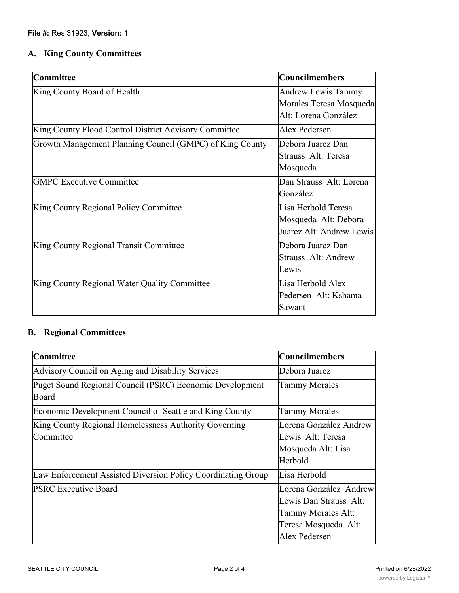## **A. King County Committees**

| <b>Committee</b>                                         | <b>Councilmembers</b>                                                        |
|----------------------------------------------------------|------------------------------------------------------------------------------|
| King County Board of Health                              | <b>Andrew Lewis Tammy</b><br>Morales Teresa Mosqueda<br>Alt: Lorena González |
| King County Flood Control District Advisory Committee    | Alex Pedersen                                                                |
| Growth Management Planning Council (GMPC) of King County | Debora Juarez Dan<br>Strauss Alt: Teresa<br>Mosqueda                         |
| <b>GMPC Executive Committee</b>                          | Dan Strauss Alt: Lorena<br>González                                          |
| King County Regional Policy Committee                    | Lisa Herbold Teresa<br>Mosqueda Alt: Debora<br>Juarez Alt: Andrew Lewis      |
| King County Regional Transit Committee                   | Debora Juarez Dan<br>Strauss Alt: Andrew<br>Lewis                            |
| King County Regional Water Quality Committee             | Lisa Herbold Alex<br>Pedersen Alt: Kshama<br>Sawant                          |

## **B. Regional Committees**

| <b>Committee</b>                                                   | <b>Councilmembers</b>                                                                                           |
|--------------------------------------------------------------------|-----------------------------------------------------------------------------------------------------------------|
| Advisory Council on Aging and Disability Services                  | Debora Juarez                                                                                                   |
| Puget Sound Regional Council (PSRC) Economic Development<br>Board  | Tammy Morales                                                                                                   |
| Economic Development Council of Seattle and King County            | <b>Tammy Morales</b>                                                                                            |
| King County Regional Homelessness Authority Governing<br>Committee | Lorena González Andrew<br>Lewis Alt: Teresa<br>Mosqueda Alt: Lisa<br>Herbold                                    |
| Law Enforcement Assisted Diversion Policy Coordinating Group       | Lisa Herbold                                                                                                    |
| <b>PSRC Executive Board</b>                                        | Lorena González Andrew<br>Lewis Dan Strauss Alt:<br>Tammy Morales Alt:<br>Teresa Mosqueda Alt:<br>Alex Pedersen |

Strauss Alt: Tammy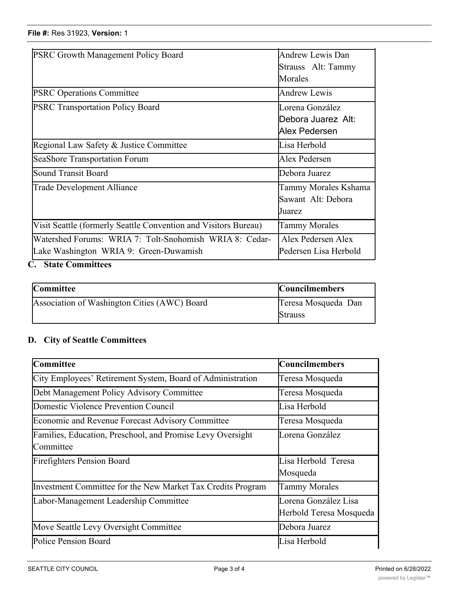#### **File #:** Res 31923, **Version:** 1

| <b>PSRC Growth Management Policy Board</b>                      | Andrew Lewis Dan      |  |
|-----------------------------------------------------------------|-----------------------|--|
|                                                                 | Strauss Alt: Tammy    |  |
|                                                                 | Morales               |  |
| <b>PSRC Operations Committee</b>                                | Andrew Lewis          |  |
| <b>PSRC Transportation Policy Board</b>                         | Lorena González       |  |
|                                                                 | lDebora Juarez Alt:   |  |
|                                                                 | Alex Pedersen         |  |
| Regional Law Safety & Justice Committee                         | Lisa Herbold          |  |
| SeaShore Transportation Forum                                   | Alex Pedersen         |  |
| Sound Transit Board                                             | Debora Juarez         |  |
| Trade Development Alliance                                      | Tammy Morales Kshama  |  |
|                                                                 | Sawant Alt: Debora    |  |
|                                                                 | Juarez                |  |
| Visit Seattle (formerly Seattle Convention and Visitors Bureau) | <b>Tammy Morales</b>  |  |
| Watershed Forums: WRIA 7: Tolt-Snohomish WRIA 8: Cedar-         | Alex Pedersen Alex    |  |
| Lake Washington WRIA 9: Green-Duwamish                          | Pedersen Lisa Herbold |  |
|                                                                 |                       |  |

Teresa Mosqueda Alt:

Alex Pedersen

### **C. State Committees**

| <b>Committee</b>                             | <b>Councilmembers</b> |
|----------------------------------------------|-----------------------|
| Association of Washington Cities (AWC) Board | Teresa Mosqueda Dan   |
|                                              | <b>Strauss</b>        |

# **D. City of Seattle Committees**

| <b>Committee</b>                                                        | <b>Councilmembers</b>                           |
|-------------------------------------------------------------------------|-------------------------------------------------|
| City Employees' Retirement System, Board of Administration              | Teresa Mosqueda                                 |
| Debt Management Policy Advisory Committee                               | Teresa Mosqueda                                 |
| Domestic Violence Prevention Council                                    | Lisa Herbold                                    |
| <b>Economic and Revenue Forecast Advisory Committee</b>                 | Teresa Mosqueda                                 |
| Families, Education, Preschool, and Promise Levy Oversight<br>Committee | Lorena González                                 |
| <b>Firefighters Pension Board</b>                                       | Lisa Herbold Teresa<br>Mosqueda                 |
| Investment Committee for the New Market Tax Credits Program             | <b>Tammy Morales</b>                            |
| Labor-Management Leadership Committee                                   | Lorena González Lisa<br>Herbold Teresa Mosqueda |
| Move Seattle Levy Oversight Committee                                   | Debora Juarez                                   |
| Police Pension Board                                                    | Lisa Herbold                                    |